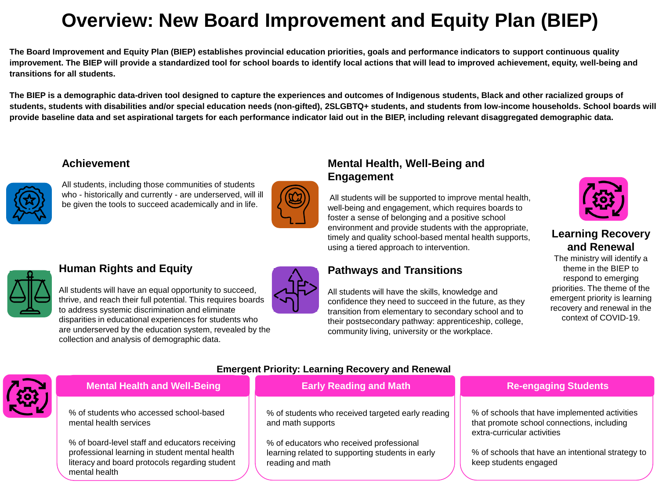# **Overview: New Board Improvement and Equity Plan (BIEP)**

**The Board Improvement and Equity Plan (BIEP) establishes provincial education priorities, goals and performance indicators to support continuous quality improvement. The BIEP will provide a standardized tool for school boards to identify local actions that will lead to improved achievement, equity, well-being and transitions for all students.**

**The BIEP is a demographic data-driven tool designed to capture the experiences and outcomes of Indigenous students, Black and other racialized groups of students, students with disabilities and/or special education needs (non-gifted), 2SLGBTQ+ students, and students from low-income households. School boards will provide baseline data and set aspirational targets for each performance indicator laid out in the BIEP, including relevant disaggregated demographic data.**

#### **Achievement**



All students, including those communities of students who - historically and currently - are underserved, will ill be given the tools to succeed academically and in life.



# **Mental Health, Well-Being and Engagement**

All students will be supported to improve mental health, well-being and engagement, which requires boards to foster a sense of belonging and a positive school environment and provide students with the appropriate, timely and quality school-based mental health supports, using a tiered approach to intervention.

# **Pathways and Transitions**



# **Learning Recovery and Renewal**

The ministry will identify a theme in the BIEP to respond to emerging priorities. The theme of the emergent priority is learning recovery and renewal in the context of COVID-19.



## **Human Rights and Equity**

| All students will have an equal opportunity to succeed,      |
|--------------------------------------------------------------|
| thrive, and reach their full potential. This requires boards |
| to address systemic discrimination and eliminate             |
| disparities in educational experiences for students who      |
| are underserved by the education system, revealed by the     |
| collection and analysis of demographic data.                 |



All students will have the skills, knowledge and confidence they need to succeed in the future, as they transition from elementary to secondary school and to their postsecondary pathway: apprenticeship, college, community living, university or the workplace.



% of board-level staff and educators receiving professional learning in student mental health literacy and board protocols regarding student mental health

#### **Emergent Priority: Learning Recovery and Renewal**

% of students who received targeted early reading and math supports

**Early Reading and Math** 

% of educators who received professional learning related to supporting students in early reading and math

#### **Re-engaging Students**

% of schools that have implemented activities that promote school connections, including extra-curricular activities

% of schools that have an intentional strategy to keep students engaged